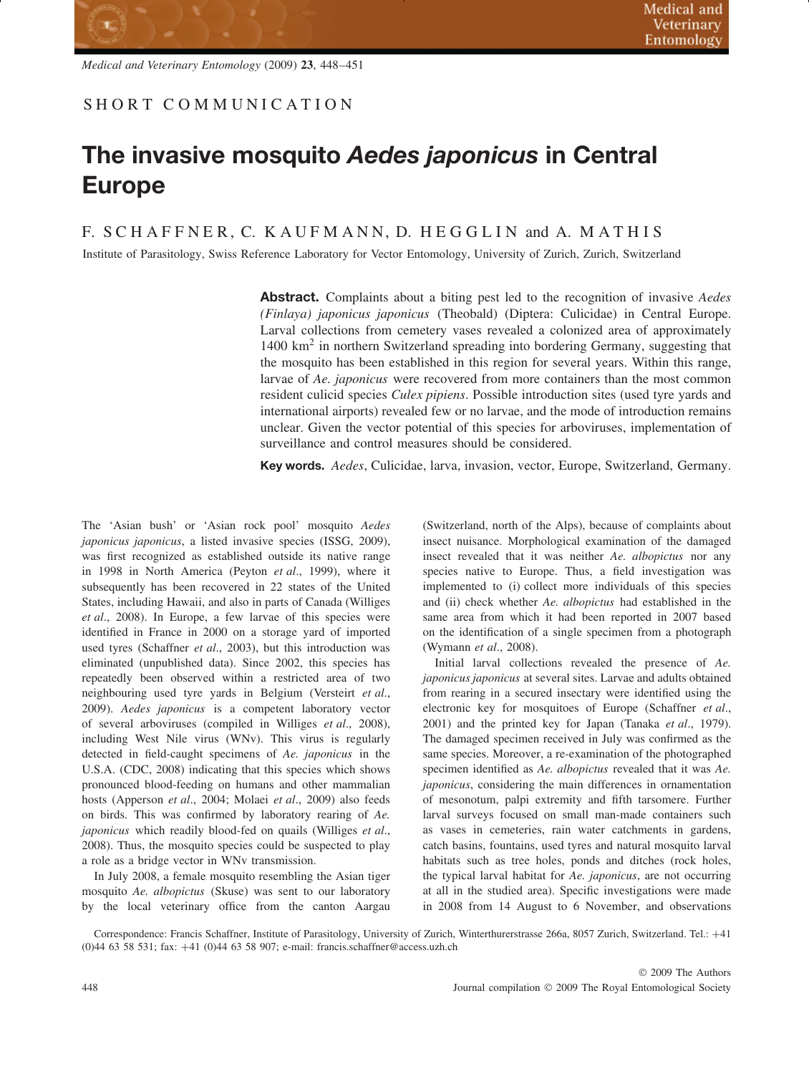## **The invasive mosquito** *Aedes japonicus* **in Central Europe**

F. SCHAFFNER, C. KAUFMANN, D. HEGGLIN and A. MATHIS

Institute of Parasitology, Swiss Reference Laboratory for Vector Entomology, University of Zurich, Zurich, Switzerland

**Abstract.** Complaints about a biting pest led to the recognition of invasive *Aedes (Finlaya) japonicus japonicus* (Theobald) (Diptera: Culicidae) in Central Europe. Larval collections from cemetery vases revealed a colonized area of approximately  $1400 \text{ km}^2$  in northern Switzerland spreading into bordering Germany, suggesting that the mosquito has been established in this region for several years. Within this range, larvae of *Ae. japonicus* were recovered from more containers than the most common resident culicid species *Culex pipiens*. Possible introduction sites (used tyre yards and international airports) revealed few or no larvae, and the mode of introduction remains unclear. Given the vector potential of this species for arboviruses, implementation of surveillance and control measures should be considered.

**Key words.** *Aedes*, Culicidae, larva, invasion, vector, Europe, Switzerland, Germany.

The 'Asian bush' or 'Asian rock pool' mosquito *Aedes japonicus japonicus*, a listed invasive species (ISSG, 2009), was first recognized as established outside its native range in 1998 in North America (Peyton *et al*., 1999), where it subsequently has been recovered in 22 states of the United States, including Hawaii, and also in parts of Canada (Williges *et al*., 2008). In Europe, a few larvae of this species were identified in France in 2000 on a storage yard of imported used tyres (Schaffner *et al*., 2003), but this introduction was eliminated (unpublished data). Since 2002, this species has repeatedly been observed within a restricted area of two neighbouring used tyre yards in Belgium (Versteirt *et al*., 2009). *Aedes japonicus* is a competent laboratory vector of several arboviruses (compiled in Williges *et al*., 2008), including West Nile virus (WNv). This virus is regularly detected in field-caught specimens of *Ae. japonicus* in the U.S.A. (CDC, 2008) indicating that this species which shows pronounced blood-feeding on humans and other mammalian hosts (Apperson *et al*., 2004; Molaei *et al*., 2009) also feeds on birds. This was confirmed by laboratory rearing of *Ae. japonicus* which readily blood-fed on quails (Williges *et al*., 2008). Thus, the mosquito species could be suspected to play a role as a bridge vector in WNv transmission.

In July 2008, a female mosquito resembling the Asian tiger mosquito *Ae. albopictus* (Skuse) was sent to our laboratory by the local veterinary office from the canton Aargau (Switzerland, north of the Alps), because of complaints about insect nuisance. Morphological examination of the damaged insect revealed that it was neither *Ae. albopictus* nor any species native to Europe. Thus, a field investigation was implemented to (i) collect more individuals of this species and (ii) check whether *Ae. albopictus* had established in the same area from which it had been reported in 2007 based on the identification of a single specimen from a photograph (Wymann *et al*., 2008).

Initial larval collections revealed the presence of *Ae. japonicus japonicus* at several sites. Larvae and adults obtained from rearing in a secured insectary were identified using the electronic key for mosquitoes of Europe (Schaffner *et al*., 2001) and the printed key for Japan (Tanaka *et al*., 1979). The damaged specimen received in July was confirmed as the same species. Moreover, a re-examination of the photographed specimen identified as *Ae. albopictus* revealed that it was *Ae. japonicus*, considering the main differences in ornamentation of mesonotum, palpi extremity and fifth tarsomere. Further larval surveys focused on small man-made containers such as vases in cemeteries, rain water catchments in gardens, catch basins, fountains, used tyres and natural mosquito larval habitats such as tree holes, ponds and ditches (rock holes, the typical larval habitat for *Ae. japonicus*, are not occurring at all in the studied area). Specific investigations were made in 2008 from 14 August to 6 November, and observations

Correspondence: Francis Schaffner, Institute of Parasitology, University of Zurich, Winterthurerstrasse 266a, 8057 Zurich, Switzerland. Tel.: +41 (0)44 63 58 531; fax: +41 (0)44 63 58 907; e-mail: francis.schaffner@access.uzh.ch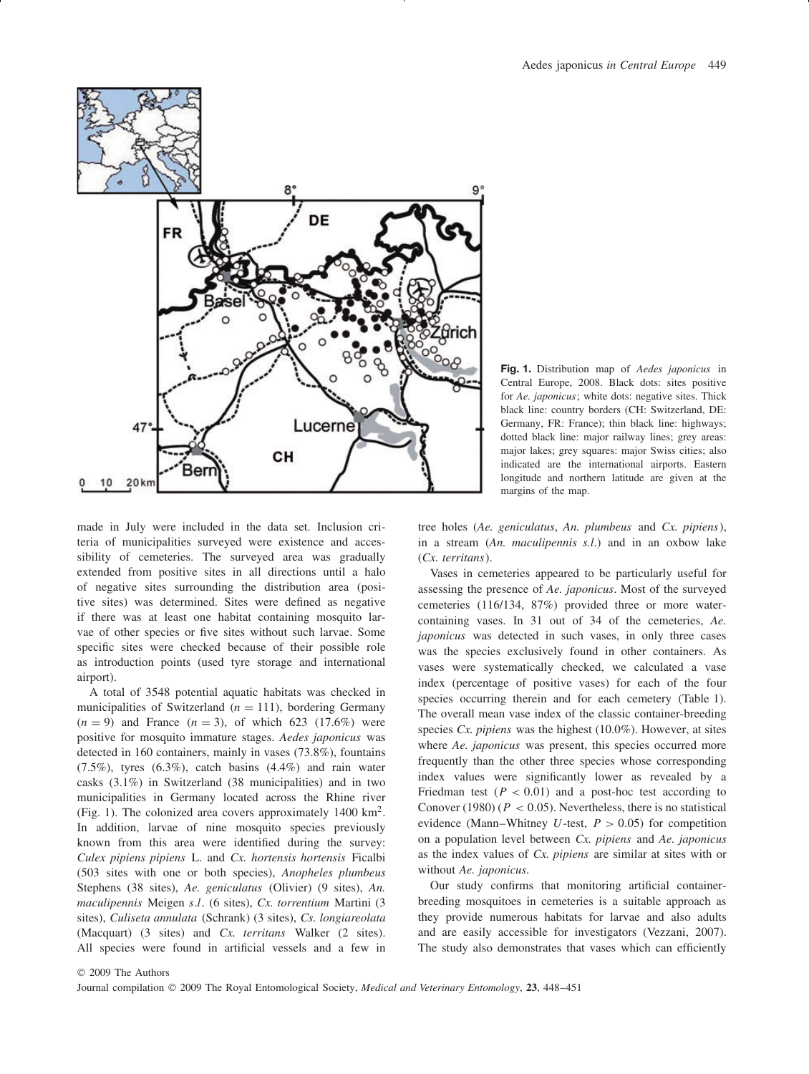

made in July were included in the data set. Inclusion criteria of municipalities surveyed were existence and accessibility of cemeteries. The surveyed area was gradually extended from positive sites in all directions until a halo of negative sites surrounding the distribution area (positive sites) was determined. Sites were defined as negative if there was at least one habitat containing mosquito larvae of other species or five sites without such larvae. Some specific sites were checked because of their possible role as introduction points (used tyre storage and international airport).

A total of 3548 potential aquatic habitats was checked in municipalities of Switzerland  $(n = 111)$ , bordering Germany  $(n = 9)$  and France  $(n = 3)$ , of which 623 (17.6%) were positive for mosquito immature stages. *Aedes japonicus* was detected in 160 containers, mainly in vases (73.8%), fountains (7.5%), tyres (6.3%), catch basins (4.4%) and rain water casks (3.1%) in Switzerland (38 municipalities) and in two municipalities in Germany located across the Rhine river (Fig. 1). The colonized area covers approximately  $1400 \text{ km}^2$ . In addition, larvae of nine mosquito species previously known from this area were identified during the survey: *Culex pipiens pipiens* L. and *Cx. hortensis hortensis* Ficalbi (503 sites with one or both species), *Anopheles plumbeus* Stephens (38 sites), *Ae. geniculatus* (Olivier) (9 sites), *An. maculipennis* Meigen *s.l.* (6 sites), *Cx. torrentium* Martini (3 sites), *Culiseta annulata* (Schrank) (3 sites), *Cs. longiareolata* (Macquart) (3 sites) and *Cx. territans* Walker (2 sites). All species were found in artificial vessels and a few in



tree holes (*Ae. geniculatus*, *An. plumbeus* and *Cx. pipiens*), in a stream (*An. maculipennis s.l*.) and in an oxbow lake (*Cx. territans*).

Vases in cemeteries appeared to be particularly useful for assessing the presence of *Ae. japonicus*. Most of the surveyed cemeteries (116/134, 87%) provided three or more watercontaining vases. In 31 out of 34 of the cemeteries, *Ae. japonicus* was detected in such vases, in only three cases was the species exclusively found in other containers. As vases were systematically checked, we calculated a vase index (percentage of positive vases) for each of the four species occurring therein and for each cemetery (Table 1). The overall mean vase index of the classic container-breeding species *Cx. pipiens* was the highest (10.0%). However, at sites where *Ae. japonicus* was present, this species occurred more frequently than the other three species whose corresponding index values were significantly lower as revealed by a Friedman test  $(P < 0.01)$  and a post-hoc test according to Conover (1980) ( $P < 0.05$ ). Nevertheless, there is no statistical evidence (Mann–Whitney  $U$ -test,  $P > 0.05$ ) for competition on a population level between *Cx. pipiens* and *Ae. japonicus* as the index values of *Cx. pipiens* are similar at sites with or without *Ae. japonicus*.

Our study confirms that monitoring artificial containerbreeding mosquitoes in cemeteries is a suitable approach as they provide numerous habitats for larvae and also adults and are easily accessible for investigators (Vezzani, 2007). The study also demonstrates that vases which can efficiently

Journal compilation © 2009 The Royal Entomological Society, *Medical and Veterinary Entomology*, **23**, 448–451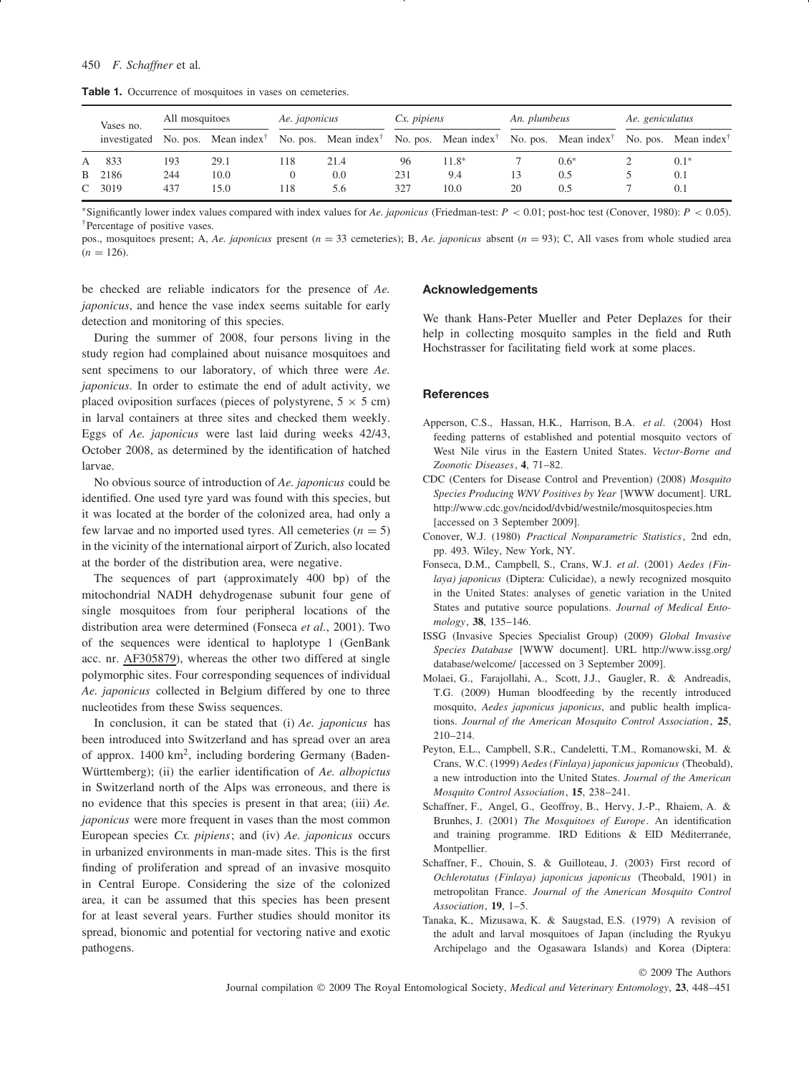Table 1. Occurrence of mosquitoes in vases on cemeteries.

|  | Vases no. | All mosquitoes |      | Ae. japonicus |      | $Cx.$ pipiens |                                                                                                                                                                                   | An. plumbeus |        | Ae. geniculatus |        |
|--|-----------|----------------|------|---------------|------|---------------|-----------------------------------------------------------------------------------------------------------------------------------------------------------------------------------|--------------|--------|-----------------|--------|
|  |           |                |      |               |      |               | investigated No. pos. Mean index <sup>†</sup> No. pos. Mean index <sup>†</sup> No. pos. Mean index <sup>†</sup> No. pos. Mean index <sup>†</sup> No. pos. Mean index <sup>†</sup> |              |        |                 |        |
|  | A 833     | 193            | 29.1 | 118           | 21.4 | 96            | $11.8*$                                                                                                                                                                           |              | $0.6*$ |                 | $0.1*$ |
|  | B 2186    | 244            | 10.0 | 0             | 0.0  | 231           | 9.4                                                                                                                                                                               | 13           | 0.5    |                 | 0.1    |
|  | $C$ 3019  | 437            | 15.0 | 118           | 5.6  | 327           | 10.0                                                                                                                                                                              | 20           | 0.5    |                 | 0.1    |

∗Significantly lower index values compared with index values for *Ae. japonicus* (Friedman-test: *P <* 0.01; post-hoc test (Conover, 1980): *P <* 0*.*05). †Percentage of positive vases.

pos., mosquitoes present; A, *Ae. japonicus* present (*n* = 33 cemeteries); B, *Ae. japonicus* absent (*n* = 93); C, All vases from whole studied area  $(n = 126)$ .

be checked are reliable indicators for the presence of *Ae. japonicus*, and hence the vase index seems suitable for early detection and monitoring of this species.

During the summer of 2008, four persons living in the study region had complained about nuisance mosquitoes and sent specimens to our laboratory, of which three were *Ae. japonicus*. In order to estimate the end of adult activity, we placed oviposition surfaces (pieces of polystyrene,  $5 \times 5$  cm) in larval containers at three sites and checked them weekly. Eggs of *Ae. japonicus* were last laid during weeks 42/43, October 2008, as determined by the identification of hatched larvae.

No obvious source of introduction of *Ae. japonicus* could be identified. One used tyre yard was found with this species, but it was located at the border of the colonized area, had only a few larvae and no imported used tyres. All cemeteries  $(n = 5)$ in the vicinity of the international airport of Zurich, also located at the border of the distribution area, were negative.

The sequences of part (approximately 400 bp) of the mitochondrial NADH dehydrogenase subunit four gene of single mosquitoes from four peripheral locations of the distribution area were determined (Fonseca *et al*., 2001). Two of the sequences were identical to haplotype 1 (GenBank acc. nr. AF305879), whereas the other two differed at single polymorphic sites. Four corresponding sequences of individual *Ae. japonicus* collected in Belgium differed by one to three nucleotides from these Swiss sequences.

In conclusion, it can be stated that (i) *Ae. japonicus* has been introduced into Switzerland and has spread over an area of approx. 1400 km2, including bordering Germany (Baden-Württemberg); (ii) the earlier identification of Ae. albopictus in Switzerland north of the Alps was erroneous, and there is no evidence that this species is present in that area; (iii) *Ae. japonicus* were more frequent in vases than the most common European species *Cx. pipiens*; and (iv) *Ae. japonicus* occurs in urbanized environments in man-made sites. This is the first finding of proliferation and spread of an invasive mosquito in Central Europe. Considering the size of the colonized area, it can be assumed that this species has been present for at least several years. Further studies should monitor its spread, bionomic and potential for vectoring native and exotic pathogens.

## **Acknowledgements**

We thank Hans-Peter Mueller and Peter Deplazes for their help in collecting mosquito samples in the field and Ruth Hochstrasser for facilitating field work at some places.

## **References**

- Apperson, C.S., Hassan, H.K., Harrison, B.A. *et al*. (2004) Host feeding patterns of established and potential mosquito vectors of West Nile virus in the Eastern United States. *Vector-Borne and Zoonotic Diseases*, **4**, 71–82.
- CDC (Centers for Disease Control and Prevention) (2008) *Mosquito Species Producing WNV Positives by Year* [WWW document]. URL http://www.cdc.gov/ncidod/dvbid/westnile/mosquitospecies.htm [accessed on 3 September 2009].
- Conover, W.J. (1980) *Practical Nonparametric Statistics*, 2nd edn, pp. 493. Wiley, New York, NY.
- Fonseca, D.M., Campbell, S., Crans, W.J. *et al*. (2001) *Aedes (Finlaya) japonicus* (Diptera: Culicidae), a newly recognized mosquito in the United States: analyses of genetic variation in the United States and putative source populations. *Journal of Medical Entomology*, **38**, 135–146.
- ISSG (Invasive Species Specialist Group) (2009) *Global Invasive Species Database* [WWW document]. URL http://www.issg.org/ database/welcome/ [accessed on 3 September 2009].
- Molaei, G., Farajollahi, A., Scott, J.J., Gaugler, R. & Andreadis, T.G. (2009) Human bloodfeeding by the recently introduced mosquito, *Aedes japonicus japonicus*, and public health implications. *Journal of the American Mosquito Control Association*, **25**, 210–214.
- Peyton, E.L., Campbell, S.R., Candeletti, T.M., Romanowski, M. & Crans, W.C. (1999) *Aedes (Finlaya) japonicus japonicus* (Theobald), a new introduction into the United States. *Journal of the American Mosquito Control Association*, **15**, 238–241.
- Schaffner, F., Angel, G., Geoffroy, B., Hervy, J.-P., Rhaiem, A. & Brunhes, J. (2001) *The Mosquitoes of Europe*. An identification and training programme. IRD Editions  $\&$  EID Méditerranée, Montpellier.
- Schaffner, F., Chouin, S. & Guilloteau, J. (2003) First record of *Ochlerotatus (Finlaya) japonicus japonicus* (Theobald, 1901) in metropolitan France. *Journal of the American Mosquito Control Association*, **19**, 1–5.
- Tanaka, K., Mizusawa, K. & Saugstad, E.S. (1979) A revision of the adult and larval mosquitoes of Japan (including the Ryukyu Archipelago and the Ogasawara Islands) and Korea (Diptera:

© 2009 The Authors